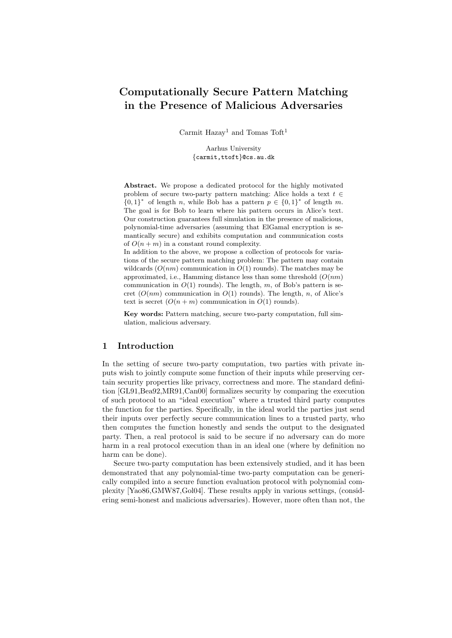# Computationally Secure Pattern Matching in the Presence of Malicious Adversaries

Carmit Hazay<sup>1</sup> and Tomas Toft<sup>1</sup>

Aarhus University {carmit,ttoft}@cs.au.dk

Abstract. We propose a dedicated protocol for the highly motivated problem of secure two-party pattern matching: Alice holds a text  $t \in$  ${0,1}^*$  of length n, while Bob has a pattern  $p \in {0,1}^*$  of length m. The goal is for Bob to learn where his pattern occurs in Alice's text. Our construction guarantees full simulation in the presence of malicious, polynomial-time adversaries (assuming that ElGamal encryption is semantically secure) and exhibits computation and communication costs of  $O(n+m)$  in a constant round complexity.

In addition to the above, we propose a collection of protocols for variations of the secure pattern matching problem: The pattern may contain wildcards  $(O(nm)$  communication in  $O(1)$  rounds). The matches may be approximated, i.e., Hamming distance less than some threshold  $(O(nm))$ communication in  $O(1)$  rounds). The length, m, of Bob's pattern is secret  $(O(nm)$  communication in  $O(1)$  rounds). The length, n, of Alice's text is secret  $(O(n+m)$  communication in  $O(1)$  rounds).

Key words: Pattern matching, secure two-party computation, full simulation, malicious adversary.

# 1 Introduction

In the setting of secure two-party computation, two parties with private inputs wish to jointly compute some function of their inputs while preserving certain security properties like privacy, correctness and more. The standard definition [GL91,Bea92,MR91,Can00] formalizes security by comparing the execution of such protocol to an "ideal execution" where a trusted third party computes the function for the parties. Specifically, in the ideal world the parties just send their inputs over perfectly secure communication lines to a trusted party, who then computes the function honestly and sends the output to the designated party. Then, a real protocol is said to be secure if no adversary can do more harm in a real protocol execution than in an ideal one (where by definition no harm can be done).

Secure two-party computation has been extensively studied, and it has been demonstrated that any polynomial-time two-party computation can be generically compiled into a secure function evaluation protocol with polynomial complexity [Yao86,GMW87,Gol04]. These results apply in various settings, (considering semi-honest and malicious adversaries). However, more often than not, the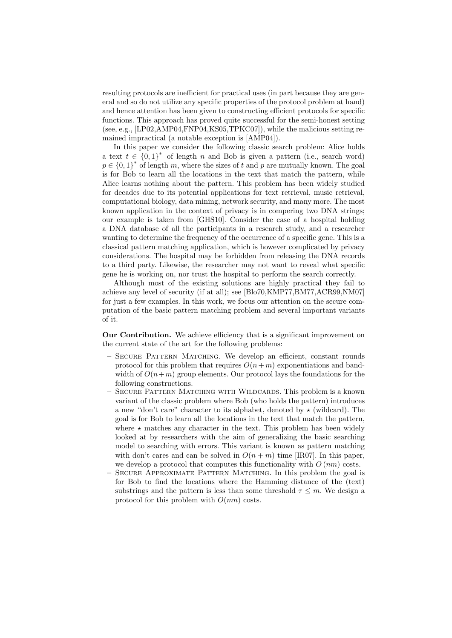resulting protocols are inefficient for practical uses (in part because they are general and so do not utilize any specific properties of the protocol problem at hand) and hence attention has been given to constructing efficient protocols for specific functions. This approach has proved quite successful for the semi-honest setting (see, e.g., [LP02,AMP04,FNP04,KS05,TPKC07]), while the malicious setting remained impractical (a notable exception is [AMP04]).

In this paper we consider the following classic search problem: Alice holds a text  $t \in \{0,1\}^*$  of length n and Bob is given a pattern (i.e., search word)  $p \in \{0,1\}^*$  of length m, where the sizes of t and p are mutually known. The goal is for Bob to learn all the locations in the text that match the pattern, while Alice learns nothing about the pattern. This problem has been widely studied for decades due to its potential applications for text retrieval, music retrieval, computational biology, data mining, network security, and many more. The most known application in the context of privacy is in compering two DNA strings; our example is taken from [GHS10]. Consider the case of a hospital holding a DNA database of all the participants in a research study, and a researcher wanting to determine the frequency of the occurrence of a specific gene. This is a classical pattern matching application, which is however complicated by privacy considerations. The hospital may be forbidden from releasing the DNA records to a third party. Likewise, the researcher may not want to reveal what specific gene he is working on, nor trust the hospital to perform the search correctly.

Although most of the existing solutions are highly practical they fail to achieve any level of security (if at all); see [Blo70,KMP77,BM77,ACR99,NM07] for just a few examples. In this work, we focus our attention on the secure computation of the basic pattern matching problem and several important variants of it.

Our Contribution. We achieve efficiency that is a significant improvement on the current state of the art for the following problems:

- Secure Pattern Matching. We develop an efficient, constant rounds protocol for this problem that requires  $O(n+m)$  exponentiations and bandwidth of  $O(n+m)$  group elements. Our protocol lays the foundations for the following constructions.
- SECURE PATTERN MATCHING WITH WILDCARDS. This problem is a known variant of the classic problem where Bob (who holds the pattern) introduces a new "don't care" character to its alphabet, denoted by  $\star$  (wildcard). The goal is for Bob to learn all the locations in the text that match the pattern, where  $\star$  matches any character in the text. This problem has been widely looked at by researchers with the aim of generalizing the basic searching model to searching with errors. This variant is known as pattern matching with don't cares and can be solved in  $O(n + m)$  time [IR07]. In this paper, we develop a protocol that computes this functionality with  $O(nm)$  costs.
- SECURE APPROXIMATE PATTERN MATCHING. In this problem the goal is for Bob to find the locations where the Hamming distance of the (text) substrings and the pattern is less than some threshold  $\tau \leq m$ . We design a protocol for this problem with  $O(mn)$  costs.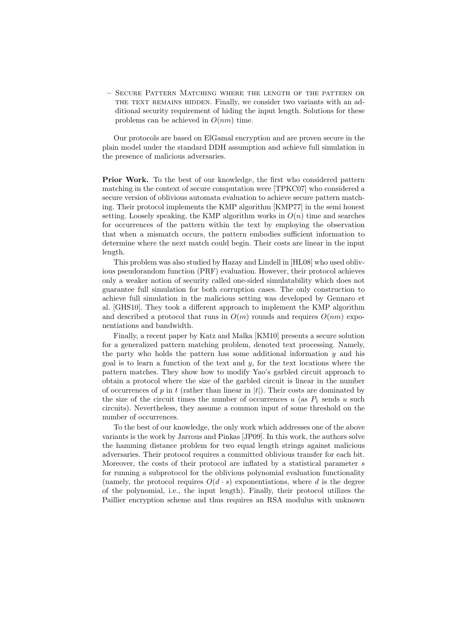– Secure Pattern Matching where the length of the pattern or THE TEXT REMAINS HIDDEN. Finally, we consider two variants with an additional security requirement of hiding the input length. Solutions for these problems can be achieved in  $O(nm)$  time.

Our protocols are based on ElGamal encryption and are proven secure in the plain model under the standard DDH assumption and achieve full simulation in the presence of malicious adversaries.

Prior Work. To the best of our knowledge, the first who considered pattern matching in the context of secure computation were [TPKC07] who considered a secure version of oblivious automata evaluation to achieve secure pattern matching. Their protocol implements the KMP algorithm [KMP77] in the semi honest setting. Loosely speaking, the KMP algorithm works in  $O(n)$  time and searches for occurrences of the pattern within the text by employing the observation that when a mismatch occurs, the pattern embodies sufficient information to determine where the next match could begin. Their costs are linear in the input length.

This problem was also studied by Hazay and Lindell in [HL08] who used oblivious pseudorandom function (PRF) evaluation. However, their protocol achieves only a weaker notion of security called one-sided simulatability which does not guarantee full simulation for both corruption cases. The only construction to achieve full simulation in the malicious setting was developed by Gennaro et al. [GHS10]. They took a different approach to implement the KMP algorithm and described a protocol that runs in  $O(m)$  rounds and requires  $O(nm)$  exponentiations and bandwidth.

Finally, a recent paper by Katz and Malka [KM10] presents a secure solution for a generalized pattern matching problem, denoted text processing. Namely, the party who holds the pattern has some additional information  $y$  and his goal is to learn a function of the text and  $y$ , for the text locations where the pattern matches. They show how to modify Yao's garbled circuit approach to obtain a protocol where the size of the garbled circuit is linear in the number of occurrences of p in t (rather than linear in |t|). Their costs are dominated by the size of the circuit times the number of occurrences u (as  $P_1$  sends u such circuits). Nevertheless, they assume a common input of some threshold on the number of occurrences.

To the best of our knowledge, the only work which addresses one of the above variants is the work by Jarrous and Pinkas [JP09]. In this work, the authors solve the hamming distance problem for two equal length strings against malicious adversaries. Their protocol requires a committed oblivious transfer for each bit. Moreover, the costs of their protocol are inflated by a statistical parameter s for running a subprotocol for the oblivious polynomial evaluation functionality (namely, the protocol requires  $O(d \cdot s)$  exponentiations, where d is the degree of the polynomial, i.e., the input length). Finally, their protocol utilizes the Paillier encryption scheme and thus requires an RSA modulus with unknown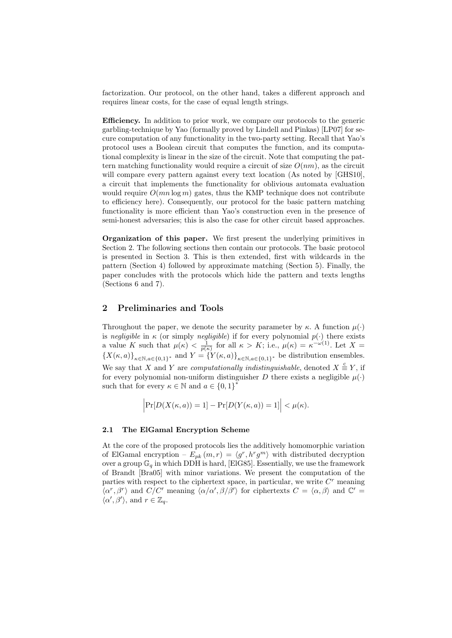factorization. Our protocol, on the other hand, takes a different approach and requires linear costs, for the case of equal length strings.

Efficiency. In addition to prior work, we compare our protocols to the generic garbling-technique by Yao (formally proved by Lindell and Pinkas) [LP07] for secure computation of any functionality in the two-party setting. Recall that Yao's protocol uses a Boolean circuit that computes the function, and its computational complexity is linear in the size of the circuit. Note that computing the pattern matching functionality would require a circuit of size  $O(nm)$ , as the circuit will compare every pattern against every text location (As noted by [GHS10], a circuit that implements the functionality for oblivious automata evaluation would require  $O(mn \log m)$  gates, thus the KMP technique does not contribute to efficiency here). Consequently, our protocol for the basic pattern matching functionality is more efficient than Yao's construction even in the presence of semi-honest adversaries; this is also the case for other circuit based approaches.

Organization of this paper. We first present the underlying primitives in Section 2. The following sections then contain our protocols. The basic protocol is presented in Section 3. This is then extended, first with wildcards in the pattern (Section 4) followed by approximate matching (Section 5). Finally, the paper concludes with the protocols which hide the pattern and texts lengths (Sections 6 and 7).

# 2 Preliminaries and Tools

Throughout the paper, we denote the security parameter by  $\kappa$ . A function  $\mu(\cdot)$ is negligible in  $\kappa$  (or simply negligible) if for every polynomial  $p(\cdot)$  there exists a value K such that  $\mu(\kappa) < \frac{1}{p(\kappa)}$  for all  $\kappa > K$ ; i.e.,  $\mu(\kappa) = \kappa^{-\omega(1)}$ . Let  $X =$  ${X(\kappa, a)}_{\kappa \in \mathbb{N}, a \in \{0,1\}^*}$  and  $Y = {Y(\kappa, a)}_{\kappa \in \mathbb{N}, a \in \{0,1\}^*}$  be distribution ensembles. We say that X and Y are *computationally indistinguishable*, denoted  $X \stackrel{c}{\equiv} Y$ , if for every polynomial non-uniform distinguisher D there exists a negligible  $\mu(\cdot)$ such that for every  $\kappa \in \mathbb{N}$  and  $a \in \{0,1\}^*$ 

$$
\left|\Pr[D(X(\kappa,a))=1]-\Pr[D(Y(\kappa,a))=1]\right|<\mu(\kappa).
$$

#### 2.1 The ElGamal Encryption Scheme

At the core of the proposed protocols lies the additively homomorphic variation of ElGamal encryption –  $E_{pk}(m,r) = \langle g^r, h^r g^m \rangle$  with distributed decryption over a group  $\mathbb{G}_q$  in which DDH is hard, [ElG85]. Essentially, we use the framework of Brandt [Bra05] with minor variations. We present the computation of the parties with respect to the ciphertext space, in particular, we write  $C<sup>r</sup>$  meaning  $\langle \alpha^r, \beta^r \rangle$  and  $C/C'$  meaning  $\langle \alpha/\alpha', \beta/\beta' \rangle$  for ciphertexts  $C = \langle \alpha, \beta \rangle$  and  $C' =$  $\langle \alpha', \beta' \rangle$ , and  $r \in \mathbb{Z}_q$ .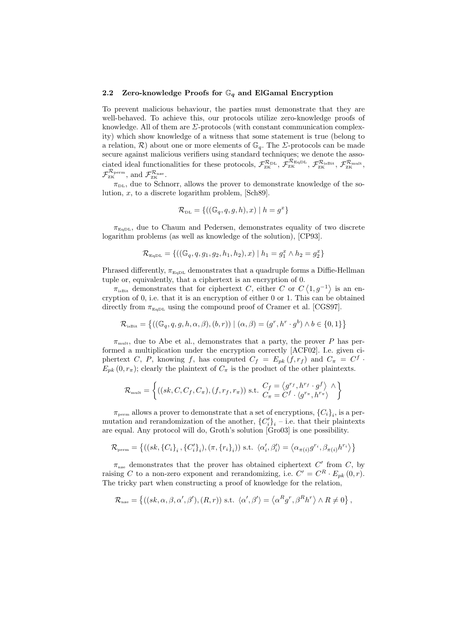#### 2.2 Zero-knowledge Proofs for  $\mathbb{G}_q$  and ElGamal Encryption

To prevent malicious behaviour, the parties must demonstrate that they are well-behaved. To achieve this, our protocols utilize zero-knowledge proofs of knowledge. All of them are  $\Sigma$ -protocols (with constant communication complexity) which show knowledge of a witness that some statement is true (belong to a relation,  $\mathcal{R}$ ) about one or more elements of  $\mathbb{G}_q$ . The  $\Sigma$ -protocols can be made secure against malicious verifiers using standard techniques; we denote the associated ideal functionalities for these protocols,  $\mathcal{F}_{\text{ZK}}^{\mathcal{R}_{\text{DL}}}$ ,  $\mathcal{F}_{\text{ZK}}^{\mathcal{R}_{\text{EqDL}}}$ ,  $\mathcal{F}_{\text{ZK}}^{\mathcal{R}_{\text{isBit}}}$ ,  $\mathcal{F}_{\text{ZK}}^{\mathcal{R}_{\text{mult}}}$ ,  $\mathcal{F}_{\rm zk}^{\mathcal{R}_{\rm perm}}$ , and  $\mathcal{F}_{\rm zk}^{\mathcal{R}_{\rm nze}}$ .

 $\pi_{\text{DL}}$ , due to Schnorr, allows the prover to demonstrate knowledge of the solution, x, to a discrete logarithm problem, [Sch89].

$$
\mathcal{R}_{\text{DL}} = \{ ((\mathbb{G}_q, q, g, h), x) \mid h = g^x \}
$$

 $\pi_{\text{EoDL}}$ , due to Chaum and Pedersen, demonstrates equality of two discrete logarithm problems (as well as knowledge of the solution), [CP93].

$$
\mathcal{R}_{\text{EqDL}}=\{((\mathbb{G}_q,q,g_1,g_2,h_1,h_2),x)\mid h_1=g_1^x\wedge h_2=g_2^x\}
$$

Phrased differently,  $\pi_{\text{EoDL}}$  demonstrates that a quadruple forms a Diffie-Hellman tuple or, equivalently, that a ciphertext is an encryption of 0.

 $\pi_{\text{isBit}}$  demonstrates that for ciphertext C, either C or  $C \langle 1, g^{-1} \rangle$  is an encryption of 0, i.e. that it is an encryption of either 0 or 1. This can be obtained directly from  $\pi_{\text{EqDL}}$  using the compound proof of Cramer et al. [CGS97].

$$
\mathcal{R}_{\text{isBit}} = \left\{ \left( (\mathbb{G}_q, q, g, h, \alpha, \beta), (b, r) \right) \mid (\alpha, \beta) = (g^r, h^r \cdot g^b) \wedge b \in \{0, 1\} \right\}
$$

 $\pi_{\text{mult}}$ , due to Abe et al., demonstrates that a party, the prover P has performed a multiplication under the encryption correctly [ACF02]. I.e. given ciphertext C, P, knowing f, has computed  $C_f = E_{pk}(f,r_f)$  and  $C_{\pi} = C^f$ .  $E_{pk} (0, r_{\pi})$ ; clearly the plaintext of  $C_{\pi}$  is the product of the other plaintexts.

$$
\mathcal{R}_{\text{mult}} = \left\{ ((sk, C, C_f, C_\pi), (f, r_f, r_\pi)) \text{ s.t. } \begin{aligned} C_f &= \left\langle g^{r_f}, h^{r_f} \cdot g^f \right\rangle \land \\ C_\pi &= C^f \cdot \left\langle g^{r_\pi}, h^{r_\pi} \right\rangle \end{aligned} \right\}
$$

 $\pi_{\text{perm}}$  allows a prover to demonstrate that a set of encryptions,  $\{C_i\}_i$ , is a permutation and rerandomization of the another,  ${C_i'}_i$  – i.e. that their plaintexts are equal. Any protocol will do, Groth's solution [Gro03] is one possibility.

$$
\mathcal{R}_{\text{perm}} = \left\{ \left( \left( sk, \left\{ C_i \right\}_i, \left\{ C'_i \right\}_i \right), \left( \pi, \left\{ r_i \right\}_i \right) \right) \text{ s.t. } \left\langle \alpha'_i, \beta'_i \right\rangle = \left\langle \alpha_{\pi(i)} g^{r_i}, \beta_{\pi(i)} h^{r_i} \right\rangle \right\}
$$

 $\pi_{\text{nze}}$  demonstrates that the prover has obtained ciphertext C' from C, by raising C to a non-zero exponent and rerandomizing, i.e.  $C' = C^R \cdot E_{pk}(0,r)$ . The tricky part when constructing a proof of knowledge for the relation,

$$
\mathcal{R}_{\text{nze}} = \left\{ ((sk, \alpha, \beta, \alpha', \beta'), (R, r)) \text{ s.t. } \langle \alpha', \beta' \rangle = \langle \alpha^R g^r, \beta^R h^r \rangle \land R \neq 0 \right\},\
$$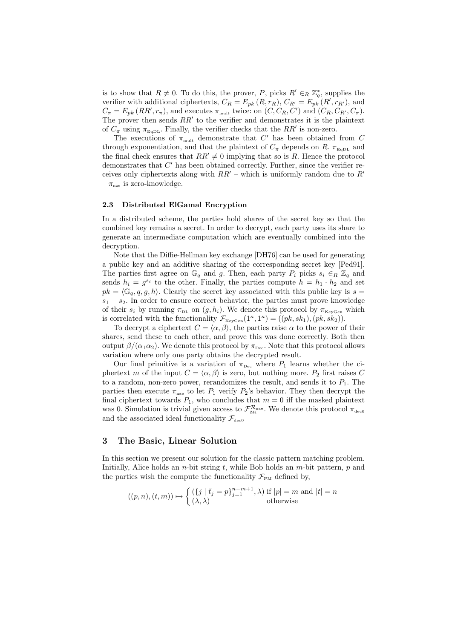is to show that  $R \neq 0$ . To do this, the prover, P, picks  $R' \in_R \mathbb{Z}_q^*$ , supplies the verifier with additional ciphertexts,  $C_R = E_{pk}(R, r_R)$ ,  $C_{R'} = E_{pk}(R', r_{R'})$ , and  $C_{\pi} = E_{pk} (RR', r_{\pi})$ , and executes  $\pi_{\text{mult}}$  twice: on  $(C, C_R, C')$  and  $(C_R, C_{R'}, C_{\pi})$ . The prover then sends  $RR'$  to the verifier and demonstrates it is the plaintext of  $C_{\pi}$  using  $\pi_{\text{EqDL}}$ . Finally, the verifier checks that the  $RR'$  is non-zero.

The executions of  $\pi_{\text{mult}}$  demonstrate that C' has been obtained from C through exponentiation, and that the plaintext of  $C_{\pi}$  depends on R.  $\pi_{\text{EoDL}}$  and the final check ensures that  $RR' \neq 0$  implying that so is R. Hence the protocol demonstrates that  $C'$  has been obtained correctly. Further, since the verifier receives only ciphertexts along with  $RR'$  – which is uniformly random due to  $R'$  $-\pi_{\text{nze}}$  is zero-knowledge.

#### 2.3 Distributed ElGamal Encryption

In a distributed scheme, the parties hold shares of the secret key so that the combined key remains a secret. In order to decrypt, each party uses its share to generate an intermediate computation which are eventually combined into the decryption.

Note that the Diffie-Hellman key exchange [DH76] can be used for generating a public key and an additive sharing of the corresponding secret key [Ped91]. The parties first agree on  $\mathbb{G}_q$  and g. Then, each party  $P_i$  picks  $s_i \in_R \mathbb{Z}_q$  and sends  $h_i = g^{s_i}$  to the other. Finally, the parties compute  $h = h_1 \cdot h_2$  and set  $pk = \langle \mathbb{G}_q, q, g, h \rangle$ . Clearly the secret key associated with this public key is s =  $s_1 + s_2$ . In order to ensure correct behavior, the parties must prove knowledge of their  $s_i$  by running  $\pi_{\text{DL}}$  on  $(g, h_i)$ . We denote this protocol by  $\pi_{\text{KevGen}}$  which is correlated with the functionality  $\mathcal{F}_{\text{KeyGen}}(1^{\kappa}, 1^{\kappa}) = ((pk, sk_1), (pk, sk_2)).$ 

To decrypt a ciphertext  $C = \langle \alpha, \beta \rangle$ , the parties raise  $\alpha$  to the power of their shares, send these to each other, and prove this was done correctly. Both then output  $\beta/(\alpha_1\alpha_2)$ . We denote this protocol by  $\pi_{\text{Dec}}$ . Note that this protocol allows variation where only one party obtains the decrypted result.

Our final primitive is a variation of  $\pi_{\text{Dec}}$  where  $P_1$  learns whether the ciphertext m of the input  $C = \langle \alpha, \beta \rangle$  is zero, but nothing more.  $P_2$  first raises C to a random, non-zero power, rerandomizes the result, and sends it to  $P_1$ . The parties then execute  $\pi_{\text{nze}}$  to let  $P_1$  verify  $P_2$ 's behavior. They then decrypt the final ciphertext towards  $P_1$ , who concludes that  $m = 0$  iff the masked plaintext was 0. Simulation is trivial given access to  $\mathcal{F}_{\rm ZK}^{\mathcal{R}_{\rm nze}}$ . We denote this protocol  $\pi_{\rm dec0}$ and the associated ideal functionality  $\mathcal{F}_{\text{dec}}$ 

## 3 The Basic, Linear Solution

In this section we present our solution for the classic pattern matching problem. Initially, Alice holds an *n*-bit string  $t$ , while Bob holds an *m*-bit pattern,  $p$  and the parties wish the compute the functionality  $\mathcal{F}_{\text{PM}}$  defined by,

$$
((p, n), (t, m)) \mapsto \begin{cases} (\{j \mid \bar{t}_j = p\}_{j=1}^{n-m+1}, \lambda) \text{ if } |p| = m \text{ and } |t| = n \\ (\lambda, \lambda) \text{ otherwise} \end{cases}
$$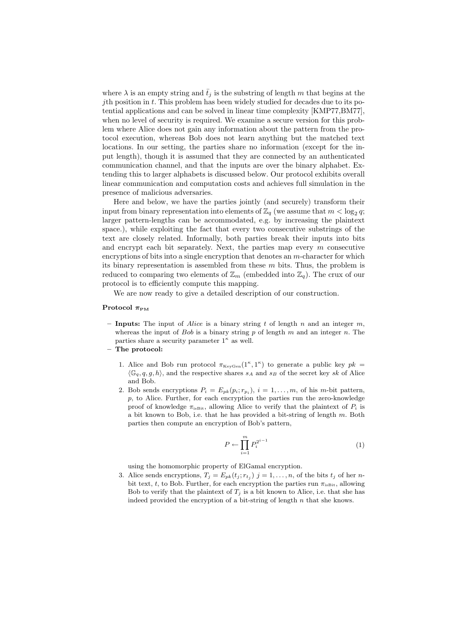where  $\lambda$  is an empty string and  $\bar{t}_j$  is the substring of length m that begins at the *j*th position in  $t$ . This problem has been widely studied for decades due to its potential applications and can be solved in linear time complexity [KMP77,BM77], when no level of security is required. We examine a secure version for this problem where Alice does not gain any information about the pattern from the protocol execution, whereas Bob does not learn anything but the matched text locations. In our setting, the parties share no information (except for the input length), though it is assumed that they are connected by an authenticated communication channel, and that the inputs are over the binary alphabet. Extending this to larger alphabets is discussed below. Our protocol exhibits overall linear communication and computation costs and achieves full simulation in the presence of malicious adversaries.

Here and below, we have the parties jointly (and securely) transform their input from binary representation into elements of  $\mathbb{Z}_q$  (we assume that  $m < \log_2 q$ ; larger pattern-lengths can be accommodated, e.g. by increasing the plaintext space.), while exploiting the fact that every two consecutive substrings of the text are closely related. Informally, both parties break their inputs into bits and encrypt each bit separately. Next, the parties map every  $m$  consecutive encryptions of bits into a single encryption that denotes an m-character for which its binary representation is assembled from these  $m$  bits. Thus, the problem is reduced to comparing two elements of  $\mathbb{Z}_m$  (embedded into  $\mathbb{Z}_q$ ). The crux of our protocol is to efficiently compute this mapping.

We are now ready to give a detailed description of our construction.

#### Protocol  $\pi_{\text{\tiny PM}}$

- **Inputs:** The input of Alice is a binary string t of length  $n$  and an integer  $m$ , whereas the input of  $Bob$  is a binary string p of length m and an integer n. The parties share a security parameter  $1^{\kappa}$  as well.
- The protocol:
	- 1. Alice and Bob run protocol  $\pi_{\text{KeyGen}}(1^{\kappa}, 1^{\kappa})$  to generate a public key  $pk =$  $\langle \mathbb{G}_q, q, g, h \rangle$ , and the respective shares  $s_A$  and  $s_B$  of the secret key sk of Alice and Bob.
	- 2. Bob sends encryptions  $P_i = E_{pk}(p_i; r_{p_i}), i = 1, \ldots, m$ , of his *m*-bit pattern, p, to Alice. Further, for each encryption the parties run the zero-knowledge proof of knowledge  $\pi_{isBit}$ , allowing Alice to verify that the plaintext of  $P_i$  is a bit known to Bob, i.e. that he has provided a bit-string of length  $m$ . Both parties then compute an encryption of Bob's pattern,

$$
P \leftarrow \prod_{i=1}^{m} P_i^{2^{i-1}} \tag{1}
$$

using the homomorphic property of ElGamal encryption.

3. Alice sends encryptions,  $T_j = E_{pk}(t_j; r_{t_j})$   $j = 1, ..., n$ , of the bits  $t_j$  of her nbit text, t, to Bob. Further, for each encryption the parties run  $\pi_{\rm isBit},$  allowing Bob to verify that the plaintext of  $T_j$  is a bit known to Alice, i.e. that she has indeed provided the encryption of a bit-string of length  $n$  that she knows.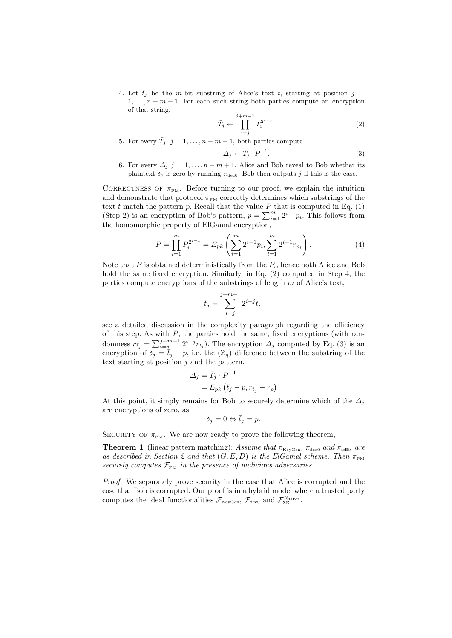4. Let  $\bar{t}_j$  be the m-bit substring of Alice's text t, starting at position  $j =$  $1, \ldots, n-m+1$ . For each such string both parties compute an encryption of that string,

$$
\bar{T}_j \leftarrow \prod_{i=j}^{j+m-1} T_i^{2^{i-j}}.
$$
\n(2)

5. For every  $\bar{T}_j$ ,  $j = 1, \ldots, n - m + 1$ , both parties compute

$$
\Delta_j \leftarrow \bar{T}_j \cdot P^{-1}.\tag{3}
$$

6. For every  $\Delta_j$  j = 1,..., n – m + 1, Alice and Bob reveal to Bob whether its plaintext  $\delta_j$  is zero by running  $\pi_{\text{dec}}$ . Bob then outputs j if this is the case.

CORRECTNESS OF  $\pi_{\text{PM}}$ . Before turning to our proof, we explain the intuition and demonstrate that protocol  $\pi_{PM}$  correctly determines which substrings of the text t match the pattern p. Recall that the value  $P$  that is computed in Eq. (1) (Step 2) is an encryption of Bob's pattern,  $p = \sum_{i=1}^{m} 2^{i-1} p_i$ . This follows from the homomorphic property of ElGamal encryption,

$$
P = \prod_{i=1}^{m} P_i^{2^{i-1}} = E_{pk} \left( \sum_{i=1}^{m} 2^{i-1} p_i, \sum_{i=1}^{m} 2^{i-1} r_{p_i} \right).
$$
 (4)

Note that  $P$  is obtained deterministically from the  $P_i$ , hence both Alice and Bob hold the same fixed encryption. Similarly, in Eq. (2) computed in Step 4, the parties compute encryptions of the substrings of length  $m$  of Alice's text,

$$
\bar{t}_j = \sum_{i=j}^{j+m-1} 2^{i-j} t_i,
$$

see a detailed discussion in the complexity paragraph regarding the efficiency of this step. As with  $P$ , the parties hold the same, fixed encryptions (with randomness  $r_{\bar{t}_j} = \sum_{i=j}^{j+m-1} 2^{i-j} r_{t_i}$ . The encryption  $\Delta_j$  computed by Eq. (3) is an encryption of  $\delta_j = t_j - p$ , i.e. the  $(\mathbb{Z}_q)$  difference between the substring of the text starting at position  $j$  and the pattern.

$$
\Delta_j = \bar{T}_j \cdot P^{-1}
$$
  
=  $E_{pk} (\bar{t}_j - p, r_{\bar{t}_j} - r_p)$ 

At this point, it simply remains for Bob to securely determine which of the  $\Delta_j$ are encryptions of zero, as

$$
\delta_j=0\Leftrightarrow \bar{t}_j=p.
$$

SECURITY OF  $\pi_{\text{PM}}$ . We are now ready to prove the following theorem,

**Theorem 1** (linear pattern matching): Assume that  $\pi_{\text{KeyGen}}, \pi_{\text{dec0}}$  and  $\pi_{\text{isBit}}$  are as described in Section 2 and that  $(G, E, D)$  is the ElGamal scheme. Then  $\pi_{PM}$ securely computes  $\mathcal{F}_{\text{PM}}$  in the presence of malicious adversaries.

Proof. We separately prove security in the case that Alice is corrupted and the case that Bob is corrupted. Our proof is in a hybrid model where a trusted party computes the ideal functionalities  $\mathcal{F}_{\text{KeyGen}}$ ,  $\mathcal{F}_{\text{dec0}}$  and  $\mathcal{F}_{\text{ZK}}^{\mathcal{R}_{\text{isBit}}}$ .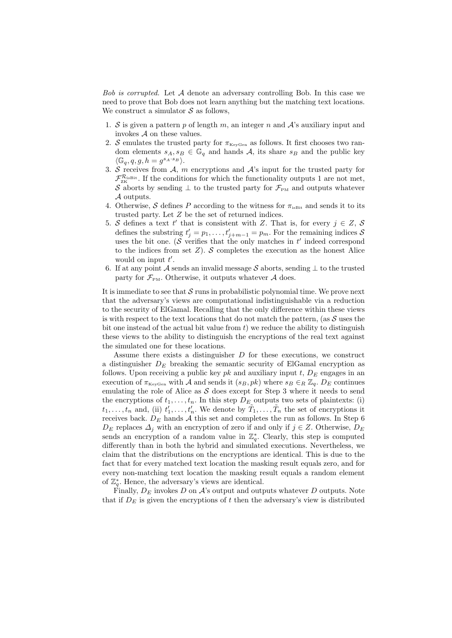Bob is corrupted. Let  $A$  denote an adversary controlling Bob. In this case we need to prove that Bob does not learn anything but the matching text locations. We construct a simulator  $S$  as follows,

- 1. S is given a pattern p of length m, an integer n and  $\mathcal{A}$ 's auxiliary input and invokes  $A$  on these values.
- 2. S emulates the trusted party for  $\pi_{\text{KeyGen}}$  as follows. It first chooses two random elements  $s_A, s_B \in \mathbb{G}_q$  and hands A, its share  $s_B$  and the public key  $\langle \mathbb{G}_q, q, g, h = g^{s_A \cdot s_B} \rangle.$
- 3. S receives from  $A$ , m encryptions and  $A$ 's input for the trusted party for  $\mathcal{F}_{\rm zk}^{\mathcal{R}_{\rm isBit}}$ . If the conditions for which the functionality outputs 1 are not met, S aborts by sending  $\perp$  to the trusted party for  $\mathcal{F}_{\scriptscriptstyle{\text{PM}}}$  and outputs whatever A outputs.
- 4. Otherwise, S defines P according to the witness for  $\pi_{\text{isBit}}$  and sends it to its trusted party. Let Z be the set of returned indices.
- 5. S defines a text t' that is consistent with Z. That is, for every  $j \in Z$ , S defines the substring  $t'_{j} = p_{1}, \ldots, t'_{j+m-1} = p_{m}$ . For the remaining indices S uses the bit one. ( $S$  verifies that the only matches in  $t'$  indeed correspond to the indices from set  $Z$ ). S completes the execution as the honest Alice would on input  $t'$ .
- 6. If at any point A sends an invalid message S aborts, sending  $\perp$  to the trusted party for  $\mathcal{F}_{\text{PM}}$ . Otherwise, it outputs whatever A does.

It is immediate to see that  $S$  runs in probabilistic polynomial time. We prove next that the adversary's views are computational indistinguishable via a reduction to the security of ElGamal. Recalling that the only difference within these views is with respect to the text locations that do not match the pattern, (as  $S$  uses the bit one instead of the actual bit value from  $t$ ) we reduce the ability to distinguish these views to the ability to distinguish the encryptions of the real text against the simulated one for these locations.

Assume there exists a distinguisher  $D$  for these executions, we construct a distinguisher  $D_E$  breaking the semantic security of ElGamal encryption as follows. Upon receiving a public key  $pk$  and auxiliary input t,  $D<sub>E</sub>$  engages in an execution of  $\pi_{\text{KeyGen}}$  with A and sends it  $(s_B, pk)$  where  $s_B \in_R \mathbb{Z}_q$ .  $D_E$  continues emulating the role of Alice as  $S$  does except for Step 3 where it needs to send the encryptions of  $t_1, \ldots, t_n$ . In this step  $D_E$  outputs two sets of plaintexts: (i)  $t_1, \ldots, t_n$  and, (ii)  $t'_1, \ldots, t'_n$ . We denote by  $\tilde{T}_1, \ldots, \tilde{T}_n$  the set of encryptions it receives back.  $D_E$  hands A this set and completes the run as follows. In Step 6  $D<sub>E</sub>$  replaces  $\Delta_j$  with an encryption of zero if and only if  $j \in \mathbb{Z}$ . Otherwise,  $D<sub>E</sub>$ sends an encryption of a random value in  $\mathbb{Z}_q^*$ . Clearly, this step is computed differently than in both the hybrid and simulated executions. Nevertheless, we claim that the distributions on the encryptions are identical. This is due to the fact that for every matched text location the masking result equals zero, and for every non-matching text location the masking result equals a random element of  $\mathbb{Z}_q^*$ . Hence, the adversary's views are identical.

Finally,  $D_E$  invokes D on A's output and outputs whatever D outputs. Note that if  $D<sub>E</sub>$  is given the encryptions of t then the adversary's view is distributed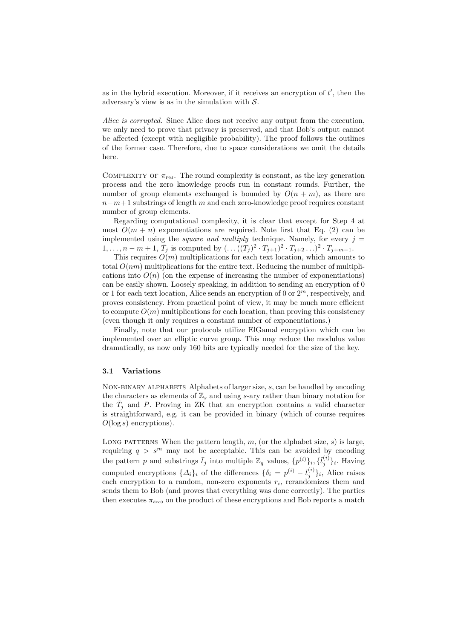as in the hybrid execution. Moreover, if it receives an encryption of  $t'$ , then the adversary's view is as in the simulation with  $\mathcal{S}$ .

Alice is corrupted. Since Alice does not receive any output from the execution, we only need to prove that privacy is preserved, and that Bob's output cannot be affected (except with negligible probability). The proof follows the outlines of the former case. Therefore, due to space considerations we omit the details here.

COMPLEXITY OF  $\pi_{\text{PM}}$ . The round complexity is constant, as the key generation process and the zero knowledge proofs run in constant rounds. Further, the number of group elements exchanged is bounded by  $O(n + m)$ , as there are  $n-m+1$  substrings of length m and each zero-knowledge proof requires constant number of group elements.

Regarding computational complexity, it is clear that except for Step 4 at most  $O(m + n)$  exponentiations are required. Note first that Eq. (2) can be implemented using the *square and multiply* technique. Namely, for every  $j =$  $1, \ldots, n-m+1$ ,  $\bar{T}_j$  is computed by  $(\ldots ((T_j)^2 \cdot T_{j+1})^2 \cdot T_{j+2} \ldots)^2 \cdot T_{j+m-1}$ .

This requires  $O(m)$  multiplications for each text location, which amounts to total  $O(nm)$  multiplications for the entire text. Reducing the number of multiplications into  $O(n)$  (on the expense of increasing the number of exponentiations) can be easily shown. Loosely speaking, in addition to sending an encryption of 0 or 1 for each text location, Alice sends an encryption of 0 or  $2<sup>m</sup>$ , respectively, and proves consistency. From practical point of view, it may be much more efficient to compute  $O(m)$  multiplications for each location, than proving this consistency (even though it only requires a constant number of exponentiations.)

Finally, note that our protocols utilize ElGamal encryption which can be implemented over an elliptic curve group. This may reduce the modulus value dramatically, as now only 160 bits are typically needed for the size of the key.

#### 3.1 Variations

Non-binary alphabets Alphabets of larger size, s, can be handled by encoding the characters as elements of  $\mathbb{Z}_s$  and using s-ary rather than binary notation for the  $\bar{T}_j$  and P. Proving in ZK that an encryption contains a valid character is straightforward, e.g. it can be provided in binary (which of course requires  $O(\log s)$  encryptions).

LONG PATTERNS When the pattern length,  $m$ , (or the alphabet size, s) is large, requiring  $q > s^m$  may not be acceptable. This can be avoided by encoding the pattern p and substrings  $\bar{t}_j$  into multiple  $\mathbb{Z}_q$  values,  $\{p^{(i)}\}_i, \{\bar{t}_j^{(i)}\}_i$ . Having computed encryptions  $\{\Delta_i\}_i$  of the differences  $\{\delta_i = p^{(i)} - \bar{t}_j^{(i)}\}_i$ , Alice raises each encryption to a random, non-zero exponents  $r_i$ , rerandomizes them and sends them to Bob (and proves that everything was done correctly). The parties then executes  $\pi_{\text{deco}}$  on the product of these encryptions and Bob reports a match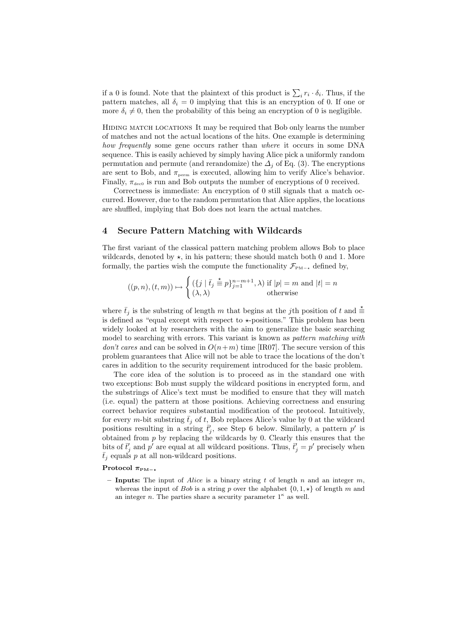if a 0 is found. Note that the plaintext of this product is  $\sum_i r_i \cdot \delta_i$ . Thus, if the pattern matches, all  $\delta_i = 0$  implying that this is an encryption of 0. If one or more  $\delta_i \neq 0$ , then the probability of this being an encryption of 0 is negligible.

Hiding match locations It may be required that Bob only learns the number of matches and not the actual locations of the hits. One example is determining how frequently some gene occurs rather than where it occurs in some DNA sequence. This is easily achieved by simply having Alice pick a uniformly random permutation and permute (and rerandomize) the  $\Delta_i$  of Eq. (3). The encryptions are sent to Bob, and  $\pi_{\text{\tiny{perm}}}$  is executed, allowing him to verify Alice's behavior. Finally,  $\pi_{\text{dec}}$  is run and Bob outputs the number of encryptions of 0 received.

Correctness is immediate: An encryption of 0 still signals that a match occurred. However, due to the random permutation that Alice applies, the locations are shuffled, implying that Bob does not learn the actual matches.

# 4 Secure Pattern Matching with Wildcards

The first variant of the classical pattern matching problem allows Bob to place wildcards, denoted by  $\star$ , in his pattern; these should match both 0 and 1. More formally, the parties wish the compute the functionality  $\mathcal{F}_{\text{PM-}\star}$  defined by,

$$
((p, n), (t, m)) \mapsto \begin{cases} (\{j \mid \bar{t}_j \stackrel{\star}{=} p\}_{j=1}^{n-m+1}, \lambda) \text{ if } |p| = m \text{ and } |t| = n \\ (\lambda, \lambda) \text{ otherwise} \end{cases}
$$

where  $\bar{t}_j$  is the substring of length m that begins at the jth position of t and  $\stackrel{\star}{=}$ is defined as "equal except with respect to  $\star$ -positions." This problem has been widely looked at by researchers with the aim to generalize the basic searching model to searching with errors. This variant is known as *pattern matching with* don't cares and can be solved in  $O(n+m)$  time [IR07]. The secure version of this problem guarantees that Alice will not be able to trace the locations of the don't cares in addition to the security requirement introduced for the basic problem.

The core idea of the solution is to proceed as in the standard one with two exceptions: Bob must supply the wildcard positions in encrypted form, and the substrings of Alice's text must be modified to ensure that they will match (i.e. equal) the pattern at those positions. Achieving correctness and ensuring correct behavior requires substantial modification of the protocol. Intuitively, for every m-bit substring  $\bar{t}_j$  of t, Bob replaces Alice's value by 0 at the wildcard positions resulting in a string  $\bar{t}'_j$ , see Step 6 below. Similarly, a pattern  $p'$  is obtained from  $p$  by replacing the wildcards by 0. Clearly this ensures that the bits of  $\bar{t}_j$  and p' are equal at all wildcard positions. Thus,  $\bar{t}_j' = p'$  precisely when  $\bar{t}_i$  equals p at all non-wildcard positions.

# Protocol  $\pi_{\text{PM}-\star}$

– Inputs: The input of *Alice* is a binary string t of length n and an integer m, whereas the input of Bob is a string p over the alphabet  $\{0, 1, \star\}$  of length m and an integer *n*. The parties share a security parameter  $1^{\kappa}$  as well.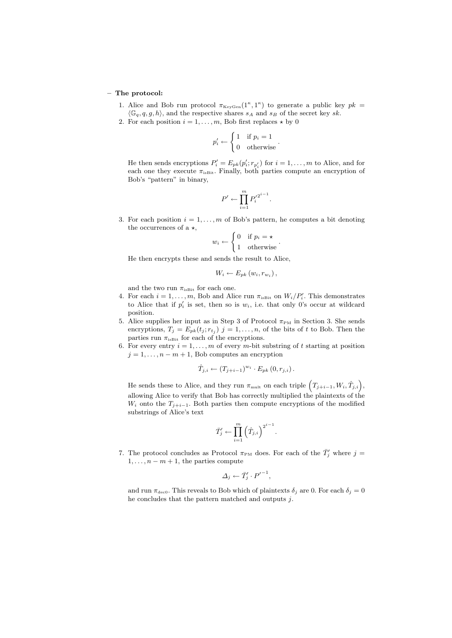#### – The protocol:

- 1. Alice and Bob run protocol  $\pi_{\text{KeyGen}}(1^{\kappa}, 1^{\kappa})$  to generate a public key  $pk =$  $\langle \mathbb{G}_q, q, q, h \rangle$ , and the respective shares  $s_A$  and  $s_B$  of the secret key sk.
- 2. For each position  $i = 1, \ldots, m$ , Bob first replaces  $\star$  by 0

$$
p_i' \leftarrow \begin{cases} 1 & \text{if } p_i = 1 \\ 0 & \text{otherwise} \end{cases}
$$

.

He then sends encryptions  $P'_i = E_{pk}(p'_i; r_{p'_i})$  for  $i = 1, ..., m$  to Alice, and for each one they execute  $\pi_{\text{isBit}}$ . Finally, both parties compute an encryption of Bob's "pattern" in binary,

$$
P' \leftarrow \prod_{i=1}^m {P'_i}^{2^{i-1}}.
$$

3. For each position  $i = 1, \ldots, m$  of Bob's pattern, he computes a bit denoting the occurrences of a  $\star$ ,

$$
w_i \leftarrow \begin{cases} 0 & \text{if } p_i = \star \\ 1 & \text{otherwise} \end{cases}.
$$

He then encrypts these and sends the result to Alice,

$$
W_i \leftarrow E_{pk}(w_i, r_{w_i}),
$$

and the two run  $\pi_{\mathrm{isBit}}$  for each one.

- 4. For each  $i = 1, ..., m$ , Bob and Alice run  $\pi_{i \text{sbit}}$  on  $W_i/P'_i$ . This demonstrates to Alice that if  $p'_i$  is set, then so is  $w_i$ , i.e. that only 0's occur at wildcard position.
- 5. Alice supplies her input as in Step 3 of Protocol  $\pi_{PM}$  in Section 3. She sends encryptions,  $T_j = E_{pk}(t_j; r_{t_j})$   $j = 1, ..., n$ , of the bits of t to Bob. Then the parties run  $\pi_{\text{isBit}}$  for each of the encryptions.
- 6. For every entry  $i = 1, \ldots, m$  of every m-bit substring of t starting at position  $j = 1, \ldots, n - m + 1$ , Bob computes an encryption

$$
\hat{T}_{j,i} \leftarrow (T_{j+i-1})^{w_i} \cdot E_{pk} (0, r_{j,i}).
$$

He sends these to Alice, and they run  $\pi_{\text{mult}}$  on each triple  $(T_{j+i-1}, W_i, \hat{T}_{j,i}),$ allowing Alice to verify that Bob has correctly multiplied the plaintexts of the  $W_i$  onto the  $T_{j+i-1}$ . Both parties then compute encryptions of the modified substrings of Alice's text

$$
\bar{T}_j' \leftarrow \prod_{i=1}^m \left(\hat{T}_{j,i}\right)^{2^{i-1}}.
$$

7. The protocol concludes as Protocol  $\pi_{PM}$  does. For each of the  $\overline{T}'_j$  where  $j =$  $1, \ldots, n-m+1$ , the parties compute

$$
\Delta_j \leftarrow \bar{T}'_j \cdot {P'}^{-1},
$$

and run  $\pi_{\text{dec}}$ . This reveals to Bob which of plaintexts  $\delta_j$  are 0. For each  $\delta_j = 0$ he concludes that the pattern matched and outputs j.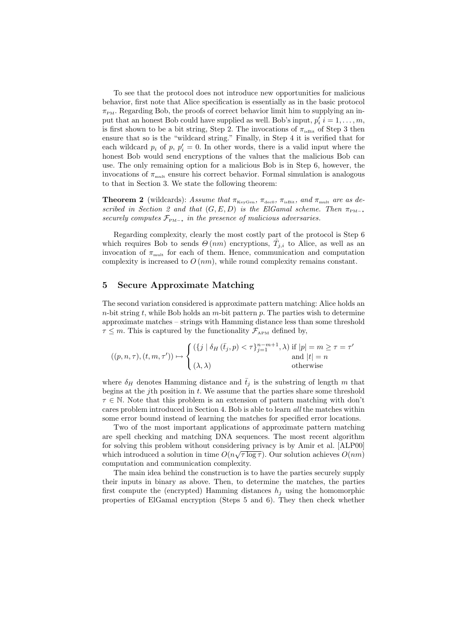To see that the protocol does not introduce new opportunities for malicious behavior, first note that Alice specification is essentially as in the basic protocol  $\pi_{\text{PM}}$ . Regarding Bob, the proofs of correct behavior limit him to supplying an input that an honest Bob could have supplied as well. Bob's input,  $p'_i$   $i = 1, \ldots, m$ , is first shown to be a bit string, Step 2. The invocations of  $\pi_{\text{isBit}}$  of Step 3 then ensure that so is the "wildcard string." Finally, in Step 4 it is verified that for each wildcard  $p_i$  of  $p, p'_i = 0$ . In other words, there is a valid input where the honest Bob would send encryptions of the values that the malicious Bob can use. The only remaining option for a malicious Bob is in Step 6, however, the invocations of  $\pi_{\text{mult}}$  ensure his correct behavior. Formal simulation is analogous to that in Section 3. We state the following theorem:

**Theorem 2** (wildcards): Assume that  $\pi_{\text{KeyGen}}, \pi_{\text{dec}}$ ,  $\pi_{\text{isBit}},$  and  $\pi_{\text{mult}}$  are as described in Section 2 and that  $(G, E, D)$  is the ElGamal scheme. Then  $\pi_{P_{M-\star}}$ securely computes  $\mathcal{F}_{\text{PM-}\star}$  in the presence of malicious adversaries.

Regarding complexity, clearly the most costly part of the protocol is Step 6 which requires Bob to sends  $\Theta(nm)$  encryptions,  $\hat{T}_{j,i}$  to Alice, as well as an invocation of  $\pi_{\text{mult}}$  for each of them. Hence, communication and computation complexity is increased to  $O(nm)$ , while round complexity remains constant.

# 5 Secure Approximate Matching

The second variation considered is approximate pattern matching: Alice holds an *n*-bit string t, while Bob holds an *m*-bit pattern p. The parties wish to determine approximate matches – strings with Hamming distance less than some threshold  $\tau \leq m$ . This is captured by the functionality  $\mathcal{F}_{APM}$  defined by,

$$
((p, n, \tau), (t, m, \tau')) \mapsto \begin{cases} (\{j \mid \delta_H (\bar{t}_j, p) < \tau\}_{j=1}^{n-m+1}, \lambda) & \text{if } |p| = m \ge \tau = \tau' \\ (\lambda, \lambda) & \text{otherwise} \end{cases}
$$

where  $\delta_H$  denotes Hamming distance and  $\bar{t}_j$  is the substring of length m that begins at the j<sup>th</sup> position in  $t$ . We assume that the parties share some threshold  $\tau \in \mathbb{N}$ . Note that this problem is an extension of pattern matching with don't cares problem introduced in Section 4. Bob is able to learn all the matches within some error bound instead of learning the matches for specified error locations.

Two of the most important applications of approximate pattern matching are spell checking and matching DNA sequences. The most recent algorithm for solving this problem without considering privacy is by Amir et al.  $[ALPO0]$ which introduced a solution in time  $O(n\sqrt{\tau \log \tau})$ . Our solution achieves  $O(nm)$ computation and communication complexity.

The main idea behind the construction is to have the parties securely supply their inputs in binary as above. Then, to determine the matches, the parties first compute the (encrypted) Hamming distances  $h_i$  using the homomorphic properties of ElGamal encryption (Steps 5 and 6). They then check whether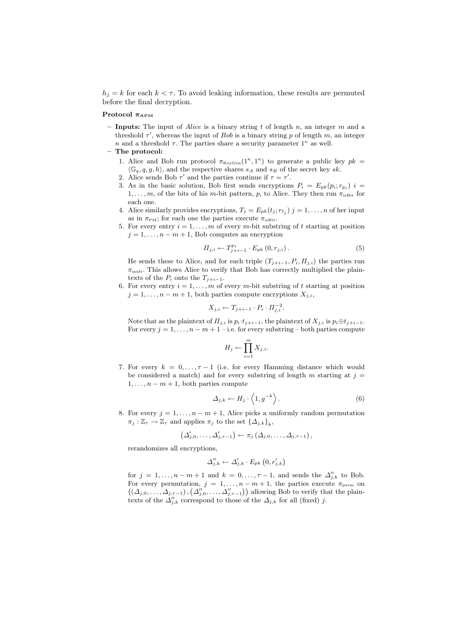$h_j = k$  for each  $k < \tau$ . To avoid leaking information, these results are permuted before the final decryption.

#### Protocol  $\pi_{\text{APM}}$

- Inputs: The input of *Alice* is a binary string  $t$  of length  $n$ , an integer  $m$  and a threshold  $\tau'$ , whereas the input of Bob is a binary string p of length m, an integer n and a threshold  $\tau$ . The parties share a security parameter  $1^{\kappa}$  as well.
- The protocol:
	- 1. Alice and Bob run protocol  $\pi_{\text{KeyGen}}(1^{\kappa}, 1^{\kappa})$  to generate a public key  $pk =$  $\langle \mathbb{G}_q, q, g, h \rangle$ , and the respective shares  $s_A$  and  $s_B$  of the secret key sk.
	- 2. Alice sends Bob  $\tau'$  and the parties continue if  $\tau = \tau'$ .
	- 3. As in the basic solution, Bob first sends encryptions  $P_i = E_{pk}(p_i; r_{p_i})$  i =  $1, \ldots, m$ , of the bits of his m-bit pattern, p, to Alice. They then run  $\pi_{i \text{\tiny{sBit}}}$  for each one.
	- 4. Alice similarly provides encryptions,  $T_j = E_{pk}(t_j; r_{t_j})$   $j = 1, ..., n$  of her input as in  $\pi_{PM}$ ; for each one the parties execute  $\pi_{isBit}$ .
	- 5. For every entry  $i = 1, \ldots, m$  of every m-bit substring of t starting at position  $j = 1, \ldots, n - m + 1$ , Bob computes an encryption

$$
\Pi_{j,i} \leftarrow T_{j+i-1}^{p_i} \cdot E_{pk} \left( 0, r_{j,i} \right). \tag{5}
$$

He sends these to Alice, and for each triple  $(T_{j+i-1}, P_i, \Pi_{j,i})$  the parties run  $\pi_{\text{mult}}$ . This allows Alice to verify that Bob has correctly multiplied the plaintexts of the  $P_i$  onto the  $T_{i+i-1}$ .

6. For every entry  $i = 1, \ldots, m$  of every m-bit substring of t starting at position  $j = 1, \ldots, n - m + 1$ , both parties compute encryptions  $X_{j,i}$ ,

$$
X_{j,i} \leftarrow T_{j+i-1} \cdot P_i \cdot \Pi_{j,i}^{-2}.
$$

Note that as the plaintext of  $\Pi_{j,i}$  is  $p_i \cdot t_{j+i-1}$ , the plaintext of  $X_{j,i}$  is  $p_i \oplus t_{j+i-1}$ . For every  $j = 1, \ldots, n - m + 1$  – i.e. for every substring – both parties compute

$$
H_j \leftarrow \prod_{i=1}^m X_{j,i}.
$$

7. For every  $k = 0, \ldots, \tau - 1$  (i.e. for every Hamming distance which would be considered a match) and for every substring of length m starting at  $j =$  $1, \ldots, n-m+1$ , both parties compute

$$
\Delta_{j,k} \leftarrow H_j \cdot \left\langle 1, g^{-k} \right\rangle. \tag{6}
$$

8. For every  $j = 1, \ldots, n - m + 1$ , Alice picks a uniformly random permutation  $\pi_j : \mathbb{Z}_{\tau} \to \mathbb{Z}_{\tau}$  and applies  $\pi_j$  to the set  $\{\Delta_{j,k}\}_k$ ,

$$
\left(\Delta'_{j,0},\ldots,\Delta'_{j,\tau-1}\right)\leftarrow \pi_j\left(\Delta_{j,0},\ldots,\Delta_{j,\tau-1}\right),
$$

rerandomizes all encryptions,

$$
\Delta_{j,k}^{\prime\prime} \leftarrow \Delta_{j,k}^{\prime} \cdot E_{pk} (0, r_{j,k}^{\prime})
$$

for  $j = 1, ..., n-m+1$  and  $k = 0, ..., \tau-1$ , and sends the  $\Delta_{j,k}''$  to Bob. For every permutation,  $j = 1, \ldots, n - m + 1$ , the parties execute  $\pi_{\text{perm}}$  on  $((\Delta_{j,0}, \ldots, \Delta_{j,\tau-1}), (\Delta''_{j,0}, \ldots, \Delta''_{j,\tau-1}))$  allowing Bob to verify that the plaintexts of the  $\Delta_{j,k}''$  correspond to those of the  $\Delta_{j,k}$  for all (fixed) j.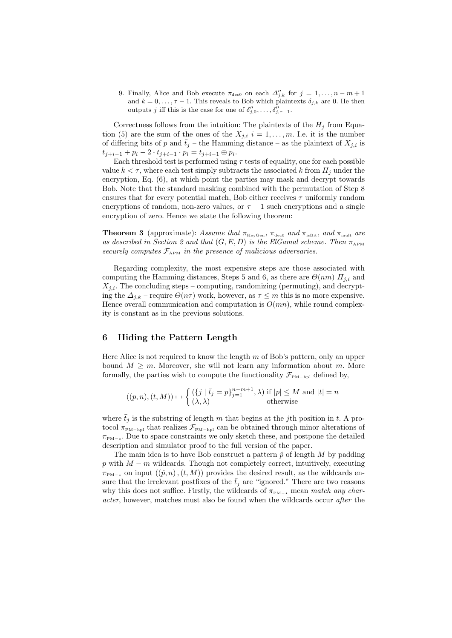9. Finally, Alice and Bob execute  $\pi_{\text{deco}}$  on each  $\Delta_{j,k}''$  for  $j = 1, \ldots, n - m + 1$ and  $k = 0, \ldots, \tau - 1$ . This reveals to Bob which plaintexts  $\delta_{j,k}$  are 0. He then outputs j iff this is the case for one of  $\delta_{j,0}'$ , ...,  $\delta_{j,\tau-1}''$ .

Correctness follows from the intuition: The plaintexts of the  $H_j$  from Equation (5) are the sum of the ones of the  $X_{j,i}$   $i = 1, \ldots, m$ . I.e. it is the number of differing bits of p and  $\bar{t}_j$  – the Hamming distance – as the plaintext of  $X_{j,i}$  is  $t_{j+i-1} + p_i - 2 \cdot t_{j+i-1} \cdot p_i = t_{j+i-1} \oplus p_i.$ 

Each threshold test is performed using  $\tau$  tests of equality, one for each possible value  $k < \tau$ , where each test simply subtracts the associated k from  $H_i$  under the encryption, Eq. (6), at which point the parties may mask and decrypt towards Bob. Note that the standard masking combined with the permutation of Step 8 ensures that for every potential match. Bob either receives  $\tau$  uniformly random encryptions of random, non-zero values, or  $\tau - 1$  such encryptions and a single encryption of zero. Hence we state the following theorem:

**Theorem 3** (approximate): Assume that  $\pi_{\text{KeyGen}}, \pi_{\text{dec0}}$  and  $\pi_{\text{isBit}},$  and  $\pi_{\text{mult}}$  are as described in Section 2 and that  $(G, E, D)$  is the ElGamal scheme. Then  $\pi_{\text{APM}}$ securely computes  $\mathcal{F}_{APM}$  in the presence of malicious adversaries.

Regarding complexity, the most expensive steps are those associated with computing the Hamming distances, Steps 5 and 6, as there are  $\Theta(nm) \prod_{j,i}$  and  $X_{j,i}$ . The concluding steps – computing, randomizing (permuting), and decrypting the  $\Delta_{i,k}$  – require  $\Theta(n\tau)$  work, however, as  $\tau \leq m$  this is no more expensive. Hence overall communication and computation is  $O(mn)$ , while round complexity is constant as in the previous solutions.

# 6 Hiding the Pattern Length

Here Alice is not required to know the length  $m$  of Bob's pattern, only an upper bound  $M \geq m$ . Moreover, she will not learn any information about m. More formally, the parties wish to compute the functionality  $\mathcal{F}_{\text{PM-npl}}$  defined by,

$$
((p, n), (t, M)) \mapsto \begin{cases} (\{j \mid \bar{t}_j = p\}_{j=1}^{n-m+1}, \lambda) & \text{if } |p| \le M \text{ and } |t| = n \\ (\lambda, \lambda) & \text{otherwise} \end{cases}
$$

where  $\bar{t}_j$  is the substring of length m that begins at the jth position in t. A protocol  $\pi_{\text{PM-hpl}}$  that realizes  $\mathcal{F}_{\text{PM-hpl}}$  can be obtained through minor alterations of  $\pi_{\text{PM}-\star}$ . Due to space constraints we only sketch these, and postpone the detailed description and simulator proof to the full version of the paper.

The main idea is to have Bob construct a pattern  $\hat{p}$  of length M by padding p with  $M - m$  wildcards. Though not completely correct, intuitively, executing  $\pi_{\text{PM}-\star}$  on input  $((\hat{p}, n), (t, M))$  provides the desired result, as the wildcards ensure that the irrelevant postfixes of the  $\bar{t}_j$  are "ignored." There are two reasons why this does not suffice. Firstly, the wildcards of  $\pi_{\text{PM-}\star}$  mean match any character, however, matches must also be found when the wildcards occur after the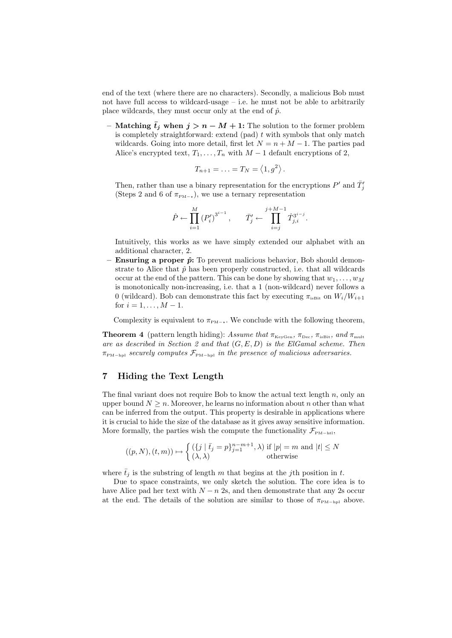end of the text (where there are no characters). Secondly, a malicious Bob must not have full access to wildcard-usage  $-$  i.e. he must not be able to arbitrarily place wildcards, they must occur only at the end of  $\hat{p}$ .

– Matching  $\bar{t}_j$  when  $j > n - M + 1$ : The solution to the former problem is completely straightforward: extend  $(pad)$   $t$  with symbols that only match wildcards. Going into more detail, first let  $N = n + M - 1$ . The parties pad Alice's encrypted text,  $T_1, \ldots, T_n$  with  $M-1$  default encryptions of 2,

$$
T_{n+1}=\ldots=T_N=\langle 1,g^2\rangle.
$$

Then, rather than use a binary representation for the encryptions  $P'$  and  $\bar{T}'_j$ (Steps 2 and 6 of  $\pi_{\text{\tiny PM-}\star}$ ), we use a ternary representation

$$
\hat{P} \leftarrow \prod_{i=1}^{M} (P'_i)^{3^{i-1}}, \qquad \bar{T}'_j \leftarrow \prod_{i=j}^{j+M-1} \hat{T}^{3^{i-j}}_{j,i}.
$$

Intuitively, this works as we have simply extended our alphabet with an additional character, 2.

– Ensuring a proper  $\hat{p}$ : To prevent malicious behavior, Bob should demonstrate to Alice that  $\hat{p}$  has been properly constructed, i.e. that all wildcards occur at the end of the pattern. This can be done by showing that  $w_1, \ldots, w_M$ is monotonically non-increasing, i.e. that a 1 (non-wildcard) never follows a 0 (wildcard). Bob can demonstrate this fact by executing  $\pi_{\text{isBit}}$  on  $W_i/W_{i+1}$ for  $i = 1, ..., M - 1$ .

Complexity is equivalent to  $\pi_{P_{M-\star}}$ . We conclude with the following theorem,

**Theorem 4** (pattern length hiding): Assume that  $\pi_{\text{KeyGen}}, \pi_{\text{Dec}}, \pi_{\text{isBit}},$  and  $\pi_{\text{mult}}$ are as described in Section 2 and that  $(G, E, D)$  is the ElGamal scheme. Then  $\pi_{\text{PM-hpl}}$  securely computes  $\mathcal{F}_{\text{PM-hpl}}$  in the presence of malicious adversaries.

# 7 Hiding the Text Length

The final variant does not require Bob to know the actual text length  $n$ , only an upper bound  $N \geq n$ . Moreover, he learns no information about n other than what can be inferred from the output. This property is desirable in applications where it is crucial to hide the size of the database as it gives away sensitive information. More formally, the parties wish the compute the functionality  $\mathcal{F}_{PM-htl}$ ,

$$
((p, N), (t, m)) \mapsto \begin{cases} (\{j \mid \bar{t}_j = p\}_{j=1}^{n-m+1}, \lambda) & \text{if } |p| = m \text{ and } |t| \le N \\ (\lambda, \lambda) & \text{otherwise} \end{cases}
$$

where  $\bar{t}_j$  is the substring of length m that begins at the jth position in t.

Due to space constraints, we only sketch the solution. The core idea is to have Alice pad her text with  $N - n$  2s, and then demonstrate that any 2s occur at the end. The details of the solution are similar to those of  $\pi_{\text{PM-hpl}}$  above.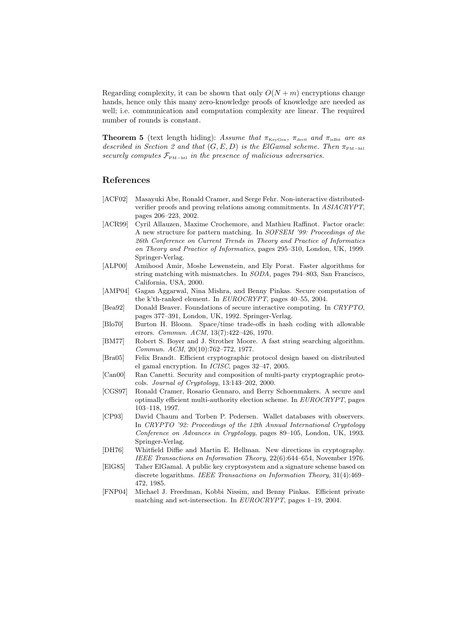Regarding complexity, it can be shown that only  $O(N+m)$  encryptions change hands, hence only this many zero-knowledge proofs of knowledge are needed as well; i.e. communication and computation complexity are linear. The required number of rounds is constant.

**Theorem 5** (text length hiding): Assume that  $\pi_{\text{KeyGen}}$ ,  $\pi_{\text{dec0}}$  and  $\pi_{\text{isBit}}$  are as described in Section 2 and that  $(G, E, D)$  is the ElGamal scheme. Then  $\pi_{\text{PM-htl}}$ securely computes  $\mathcal{F}_{\text{PM-htl}}$  in the presence of malicious adversaries.

## References

- [ACF02] Masayuki Abe, Ronald Cramer, and Serge Fehr. Non-interactive distributedverifier proofs and proving relations among commitments. In ASIACRYPT, pages 206–223, 2002.
- [ACR99] Cyril Allauzen, Maxime Crochemore, and Mathieu Raffinot. Factor oracle: A new structure for pattern matching. In SOFSEM '99: Proceedings of the 26th Conference on Current Trends in Theory and Practice of Informatics on Theory and Practice of Informatics, pages 295–310, London, UK, 1999. Springer-Verlag.
- [ALP00] Amihood Amir, Moshe Lewenstein, and Ely Porat. Faster algorithms for string matching with mismatches. In SODA, pages 794–803, San Francisco, California, USA, 2000.
- [AMP04] Gagan Aggarwal, Nina Mishra, and Benny Pinkas. Secure computation of the k'th-ranked element. In EUROCRYPT, pages 40–55, 2004.
- [Bea92] Donald Beaver. Foundations of secure interactive computing. In CRYPTO, pages 377–391, London, UK, 1992. Springer-Verlag.
- [Blo70] Burton H. Bloom. Space/time trade-offs in hash coding with allowable errors. Commun. ACM, 13(7):422–426, 1970.
- [BM77] Robert S. Boyer and J. Strother Moore. A fast string searching algorithm. Commun. ACM, 20(10):762–772, 1977.
- [Bra05] Felix Brandt. Efficient cryptographic protocol design based on distributed el gamal encryption. In ICISC, pages 32–47, 2005.
- [Can00] Ran Canetti. Security and composition of multi-party cryptographic protocols. Journal of Cryptology, 13:143–202, 2000.
- [CGS97] Ronald Cramer, Rosario Gennaro, and Berry Schoenmakers. A secure and optimally efficient multi-authority election scheme. In EUROCRYPT, pages 103–118, 1997.
- [CP93] David Chaum and Torben P. Pedersen. Wallet databases with observers. In CRYPTO '92: Proceedings of the 12th Annual International Cryptology Conference on Advances in Cryptology, pages 89–105, London, UK, 1993. Springer-Verlag.
- [DH76] Whitfield Diffie and Martin E. Hellman. New directions in cryptography. IEEE Transactions on Information Theory, 22(6):644–654, November 1976.
- [ElG85] Taher ElGamal. A public key cryptosystem and a signature scheme based on discrete logarithms. IEEE Transactions on Information Theory, 31(4):469– 472, 1985.
- [FNP04] Michael J. Freedman, Kobbi Nissim, and Benny Pinkas. Efficient private matching and set-intersection. In EUROCRYPT, pages 1–19, 2004.